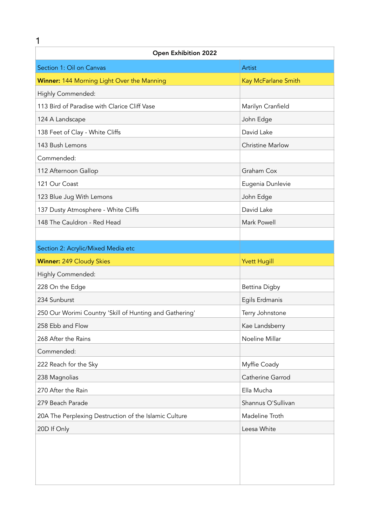| 1                                                       |                         |  |
|---------------------------------------------------------|-------------------------|--|
| <b>Open Exhibition 2022</b>                             |                         |  |
| Section 1: Oil on Canvas                                | Artist                  |  |
| Winner: 144 Morning Light Over the Manning              | Kay McFarlane Smith     |  |
| Highly Commended:                                       |                         |  |
| 113 Bird of Paradise with Clarice Cliff Vase            | Marilyn Cranfield       |  |
| 124 A Landscape                                         | John Edge               |  |
| 138 Feet of Clay - White Cliffs                         | David Lake              |  |
| 143 Bush Lemons                                         | <b>Christine Marlow</b> |  |
| Commended:                                              |                         |  |
| 112 Afternoon Gallop                                    | Graham Cox              |  |
| 121 Our Coast                                           | Eugenia Dunlevie        |  |
| 123 Blue Jug With Lemons                                | John Edge               |  |
| 137 Dusty Atmosphere - White Cliffs                     | David Lake              |  |
| 148 The Cauldron - Red Head                             | Mark Powell             |  |
|                                                         |                         |  |
| Section 2: Acrylic/Mixed Media etc                      |                         |  |
| <b>Winner: 249 Cloudy Skies</b>                         | <b>Yvett Hugill</b>     |  |
| Highly Commended:                                       |                         |  |
| 228 On the Edge                                         | <b>Bettina Digby</b>    |  |
| 234 Sunburst                                            | Egils Erdmanis          |  |
| 250 Our Worimi Country 'Skill of Hunting and Gathering' | Terry Johnstone         |  |
| 258 Ebb and Flow                                        | Kae Landsberry          |  |
| 268 After the Rains                                     | Noeline Millar          |  |
| Commended:                                              |                         |  |
| 222 Reach for the Sky                                   | Myffie Coady            |  |
| 238 Magnolias                                           | Catherine Garrod        |  |
| 270 After the Rain                                      | Ella Mucha              |  |
| 279 Beach Parade                                        | Shannus O'Sullivan      |  |
| 20A The Perplexing Destruction of the Islamic Culture   | Madeline Troth          |  |
| 20D If Only                                             | Leesa White             |  |
|                                                         |                         |  |
|                                                         |                         |  |
|                                                         |                         |  |
|                                                         |                         |  |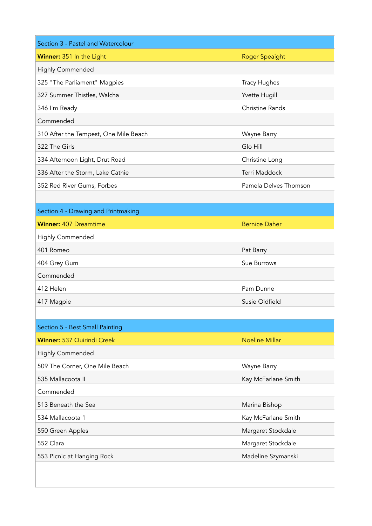| Section 3 - Pastel and Watercolour    |                        |
|---------------------------------------|------------------------|
| Winner: 351 In the Light              | <b>Roger Speaight</b>  |
| Highly Commended                      |                        |
| 325 "The Parliament" Magpies          | <b>Tracy Hughes</b>    |
| 327 Summer Thistles, Walcha           | Yvette Hugill          |
| 346 I'm Ready                         | <b>Christine Rands</b> |
| Commended                             |                        |
| 310 After the Tempest, One Mile Beach | Wayne Barry            |
| 322 The Girls                         | Glo Hill               |
| 334 Afternoon Light, Drut Road        | Christine Long         |
| 336 After the Storm, Lake Cathie      | Terri Maddock          |
| 352 Red River Gums, Forbes            | Pamela Delves Thomson  |
|                                       |                        |
| Section 4 - Drawing and Printmaking   |                        |
| <b>Winner: 407 Dreamtime</b>          | <b>Bernice Daher</b>   |
| Highly Commended                      |                        |
| 401 Romeo                             | Pat Barry              |
| 404 Grey Gum                          | Sue Burrows            |
| Commended                             |                        |
| 412 Helen                             | Pam Dunne              |
| 417 Magpie                            | Susie Oldfield         |
|                                       |                        |
| Section 5 - Best Small Painting       |                        |
| Winner: 537 Quirindi Creek            | <b>Noeline Millar</b>  |
| <b>Highly Commended</b>               |                        |
| 509 The Corner, One Mile Beach        | Wayne Barry            |
| 535 Mallacoota II                     | Kay McFarlane Smith    |
| Commended                             |                        |
| 513 Beneath the Sea                   | Marina Bishop          |
| 534 Mallacoota 1                      | Kay McFarlane Smith    |
| 550 Green Apples                      | Margaret Stockdale     |
| 552 Clara                             | Margaret Stockdale     |
| 553 Picnic at Hanging Rock            | Madeline Szymanski     |
|                                       |                        |